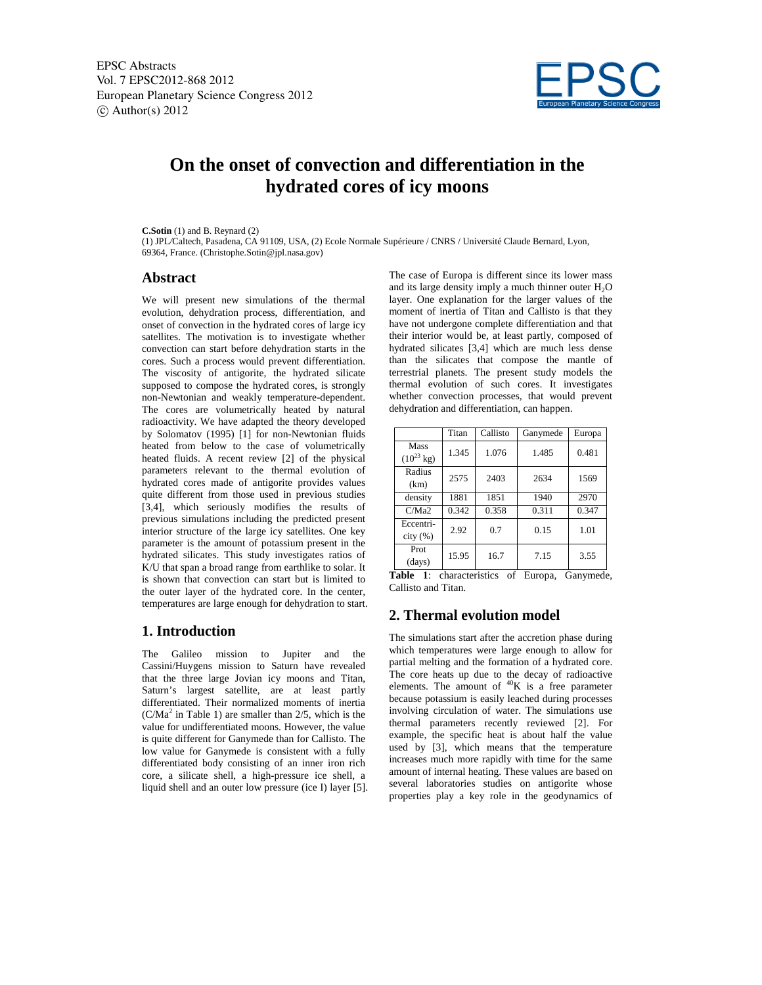

# **On the onset of convection and differentiation in the hydrated cores of icy moons**

#### **C.Sotin** (1) and B. Reynard (2)

(1) JPL*/*Caltech, Pasadena, CA 91109, USA, (2) Ecole Normale Supérieure / CNRS / Université Claude Bernard, Lyon, 69364, France. (Christophe.Sotin@jpl.nasa.gov)

#### **Abstract**

We will present new simulations of the thermal evolution, dehydration process, differentiation, and onset of convection in the hydrated cores of large icy satellites. The motivation is to investigate whether convection can start before dehydration starts in the cores. Such a process would prevent differentiation. The viscosity of antigorite, the hydrated silicate supposed to compose the hydrated cores, is strongly non-Newtonian and weakly temperature-dependent. The cores are volumetrically heated by natural radioactivity. We have adapted the theory developed by Solomatov (1995) [1] for non-Newtonian fluids heated from below to the case of volumetrically heated fluids. A recent review [2] of the physical parameters relevant to the thermal evolution of hydrated cores made of antigorite provides values quite different from those used in previous studies [3,4], which seriously modifies the results of previous simulations including the predicted present interior structure of the large icy satellites. One key parameter is the amount of potassium present in the hydrated silicates. This study investigates ratios of K/U that span a broad range from earthlike to solar. It is shown that convection can start but is limited to the outer layer of the hydrated core. In the center, temperatures are large enough for dehydration to start.

#### **1. Introduction**

The Galileo mission to Jupiter and the Cassini/Huygens mission to Saturn have revealed that the three large Jovian icy moons and Titan, Saturn's largest satellite, are at least partly differentiated. Their normalized moments of inertia  $(C/Ma<sup>2</sup>$  in Table 1) are smaller than 2/5, which is the value for undifferentiated moons. However, the value is quite different for Ganymede than for Callisto. The low value for Ganymede is consistent with a fully differentiated body consisting of an inner iron rich core, a silicate shell, a high-pressure ice shell, a liquid shell and an outer low pressure (ice I) layer [5]. The case of Europa is different since its lower mass and its large density imply a much thinner outer  $H_2O$ layer. One explanation for the larger values of the moment of inertia of Titan and Callisto is that they have not undergone complete differentiation and that their interior would be, at least partly, composed of hydrated silicates [3,4] which are much less dense than the silicates that compose the mantle of terrestrial planets. The present study models the thermal evolution of such cores. It investigates whether convection processes, that would prevent dehydration and differentiation, can happen.

|                                | Titan | Callisto | Ganymede | Europa |
|--------------------------------|-------|----------|----------|--------|
| Mass<br>$(10^{23} \text{ kg})$ | 1.345 | 1.076    | 1.485    | 0.481  |
| Radius<br>(km)                 | 2575  | 2403     | 2634     | 1569   |
| density                        | 1881  | 1851     | 1940     | 2970   |
| C/Ma2                          | 0.342 | 0.358    | 0.311    | 0.347  |
| Eccentri-<br>city (%)          | 2.92  | 0.7      | 0.15     | 1.01   |
| Prot<br>(days)                 | 15.95 | 16.7     | 7.15     | 3.55   |

**Table 1**: characteristics of Europa, Ganymede, Callisto and Titan.

## **2. Thermal evolution model**

The simulations start after the accretion phase during which temperatures were large enough to allow for partial melting and the formation of a hydrated core. The core heats up due to the decay of radioactive elements. The amount of  ${}^{40}K$  is a free parameter because potassium is easily leached during processes involving circulation of water. The simulations use thermal parameters recently reviewed [2]. For example, the specific heat is about half the value used by [3], which means that the temperature increases much more rapidly with time for the same amount of internal heating. These values are based on several laboratories studies on antigorite whose properties play a key role in the geodynamics of